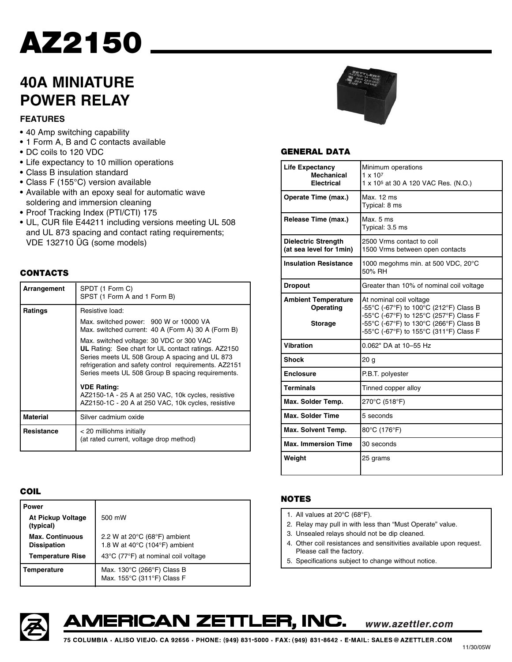# **AZ2150**

# **40A MINIATURE POWER RELAY**

### **FEATURES**

- **•** 40 Amp switching capability
- **•** 1 Form A, B and C contacts available
- **•** DC coils to 120 VDC
- **•** Life expectancy to 10 million operations
- **•** Class B insulation standard
- **•** Class F (155°C) version available
- **•** Available with an epoxy seal for automatic wave soldering and immersion cleaning
- **•** Proof Tracking Index (PTI/CTI) 175
- **•** UL, CUR file E44211 including versions meeting UL 508 and UL 873 spacing and contact rating requirements; VDE 132710 ÜG (some models)

### **CONTACTS**

| Arrangement     | SPDT (1 Form C)<br>SPST (1 Form A and 1 Form B)                                                                                                                                                                                                                        |  |  |  |  |  |  |
|-----------------|------------------------------------------------------------------------------------------------------------------------------------------------------------------------------------------------------------------------------------------------------------------------|--|--|--|--|--|--|
| Ratings         | Resistive load:                                                                                                                                                                                                                                                        |  |  |  |  |  |  |
|                 | Max. switched power: 900 W or 10000 VA<br>Max. switched current: 40 A (Form A) 30 A (Form B)                                                                                                                                                                           |  |  |  |  |  |  |
|                 | Max. switched voltage: 30 VDC or 300 VAC<br><b>UL</b> Rating: See chart for UL contact ratings. AZ2150<br>Series meets UL 508 Group A spacing and UL 873<br>refrigeration and safety control requirements. AZ2151<br>Series meets UL 508 Group B spacing requirements. |  |  |  |  |  |  |
|                 | <b>VDE Rating:</b><br>AZ2150-1A - 25 A at 250 VAC, 10k cycles, resistive<br>AZ2150-1C - 20 A at 250 VAC, 10k cycles, resistive                                                                                                                                         |  |  |  |  |  |  |
| <b>Material</b> | Silver cadmium oxide                                                                                                                                                                                                                                                   |  |  |  |  |  |  |
| Resistance      | < 20 milliohms initially<br>(at rated current, voltage drop method)                                                                                                                                                                                                    |  |  |  |  |  |  |

### **COIL**

| <b>Power</b>                                 |                                                                                                         |  |  |
|----------------------------------------------|---------------------------------------------------------------------------------------------------------|--|--|
| <b>At Pickup Voltage</b><br>(typical)        | 500 mW                                                                                                  |  |  |
| <b>Max. Continuous</b><br><b>Dissipation</b> | 2.2 W at $20^{\circ}$ C (68 $^{\circ}$ F) ambient<br>1.8 W at $40^{\circ}$ C (104 $^{\circ}$ F) ambient |  |  |
| <b>Temperature Rise</b>                      | 43°C (77°F) at nominal coil voltage                                                                     |  |  |
| Temperature                                  | Max. 130°C (266°F) Class B<br>Max. 155°C (311°F) Class F                                                |  |  |



### **GENERAL DATA**

| <b>Life Expectancy</b><br><b>Mechanical</b><br><b>Electrical</b> | Minimum operations<br>$1 \times 10^7$<br>1 x 10 <sup>5</sup> at 30 A 120 VAC Res. (N.O.)                                                                                                        |  |  |  |
|------------------------------------------------------------------|-------------------------------------------------------------------------------------------------------------------------------------------------------------------------------------------------|--|--|--|
| Operate Time (max.)                                              | Max. 12 ms<br>Typical: 8 ms                                                                                                                                                                     |  |  |  |
| Release Time (max.)                                              | Max. 5 ms<br>Typical: 3.5 ms                                                                                                                                                                    |  |  |  |
| <b>Dielectric Strength</b><br>(at sea level for 1min)            | 2500 Vrms contact to coil<br>1500 Vrms between open contacts                                                                                                                                    |  |  |  |
| <b>Insulation Resistance</b>                                     | 1000 megohms min. at 500 VDC, 20°C<br>50% RH                                                                                                                                                    |  |  |  |
| <b>Dropout</b>                                                   | Greater than 10% of nominal coil voltage                                                                                                                                                        |  |  |  |
| <b>Ambient Temperature</b><br>Operating<br><b>Storage</b>        | At nominal coil voltage<br>-55°C (-67°F) to 100°C (212°F) Class B<br>-55°C (-67°F) to 125°C (257°F) Class F<br>-55°C (-67°F) to 130°C (266°F) Class B<br>-55°C (-67°F) to 155°C (311°F) Class F |  |  |  |
| <b>Vibration</b>                                                 | 0.062" DA at 10-55 Hz                                                                                                                                                                           |  |  |  |
| <b>Shock</b>                                                     | 20 g                                                                                                                                                                                            |  |  |  |
| <b>Enclosure</b>                                                 | P.B.T. polyester                                                                                                                                                                                |  |  |  |
| <b>Terminals</b>                                                 | Tinned copper alloy                                                                                                                                                                             |  |  |  |
| Max. Solder Temp.                                                | 270°C (518°F)                                                                                                                                                                                   |  |  |  |
| <b>Max. Solder Time</b>                                          | 5 seconds                                                                                                                                                                                       |  |  |  |
| Max. Solvent Temp.                                               | 80°C (176°F)                                                                                                                                                                                    |  |  |  |
| <b>Max. Immersion Time</b>                                       | 30 seconds                                                                                                                                                                                      |  |  |  |
| Weight                                                           | 25 grams                                                                                                                                                                                        |  |  |  |

### **NOTES**

- 1. All values at 20°C (68°F).
- 2. Relay may pull in with less than "Must Operate" value.
- 3. Unsealed relays should not be dip cleaned.
- 4. Other coil resistances and sensitivities available upon request. Please call the factory.

www.azettler.com

5. Specifications subject to change without notice.



AMERICAN ZETTLER, INC.